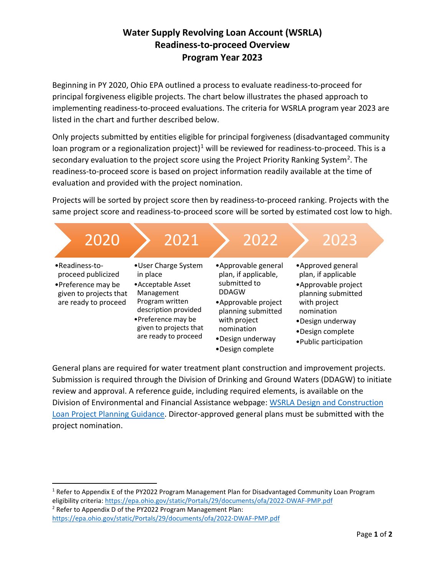## **Water Supply Revolving Loan Account (WSRLA) Readiness-to-proceed Overview Program Year 2023**

Beginning in PY 2020, Ohio EPA outlined a process to evaluate readiness-to-proceed for principal forgiveness eligible projects. The chart below illustrates the phased approach to implementing readiness-to-proceed evaluations. The criteria for WSRLA program year 2023 are listed in the chart and further described below.

Only projects submitted by entities eligible for principal forgiveness (disadvantaged community loan program or a regionalization project)<sup>[1](#page-0-0)</sup> will be reviewed for readiness-to-proceed. This is a secondary evaluation to the project score using the Project Priority Ranking System<sup>2</sup>. The readiness-to-proceed score is based on project information readily available at the time of evaluation and provided with the project nomination.

Projects will be sorted by project score then by readiness-to-proceed ranking. Projects with the same project score and readiness-to-proceed score will be sorted by estimated cost low to high.



General plans are required for water treatment plant construction and improvement projects. Submission is required through the Division of Drinking and Ground Waters (DDAGW) to initiate review and approval. A reference guide, including required elements, is available on the Division of Environmental and Financial Assistance webpage: [WSRLA Design and Construction](https://epa.ohio.gov/static/Portals/28/documents/dwaf/4_WSRLA_PPD_GP.pdf)  [Loan Project Planning Guidance.](https://epa.ohio.gov/static/Portals/28/documents/dwaf/4_WSRLA_PPD_GP.pdf) Director-approved general plans must be submitted with the project nomination.

<span id="page-0-1"></span><sup>2</sup> Refer to Appendix D of the PY2022 Program Management Plan: <https://epa.ohio.gov/static/Portals/29/documents/ofa/2022-DWAF-PMP.pdf>

<span id="page-0-0"></span><sup>&</sup>lt;sup>1</sup> Refer to Appendix E of the PY2022 Program Management Plan for Disadvantaged Community Loan Program eligibility criteria[: https://epa.ohio.gov/static/Portals/29/documents/ofa/2022-DWAF-PMP.pdf](https://epa.ohio.gov/static/Portals/29/documents/ofa/2022-DWAF-PMP.pdf)